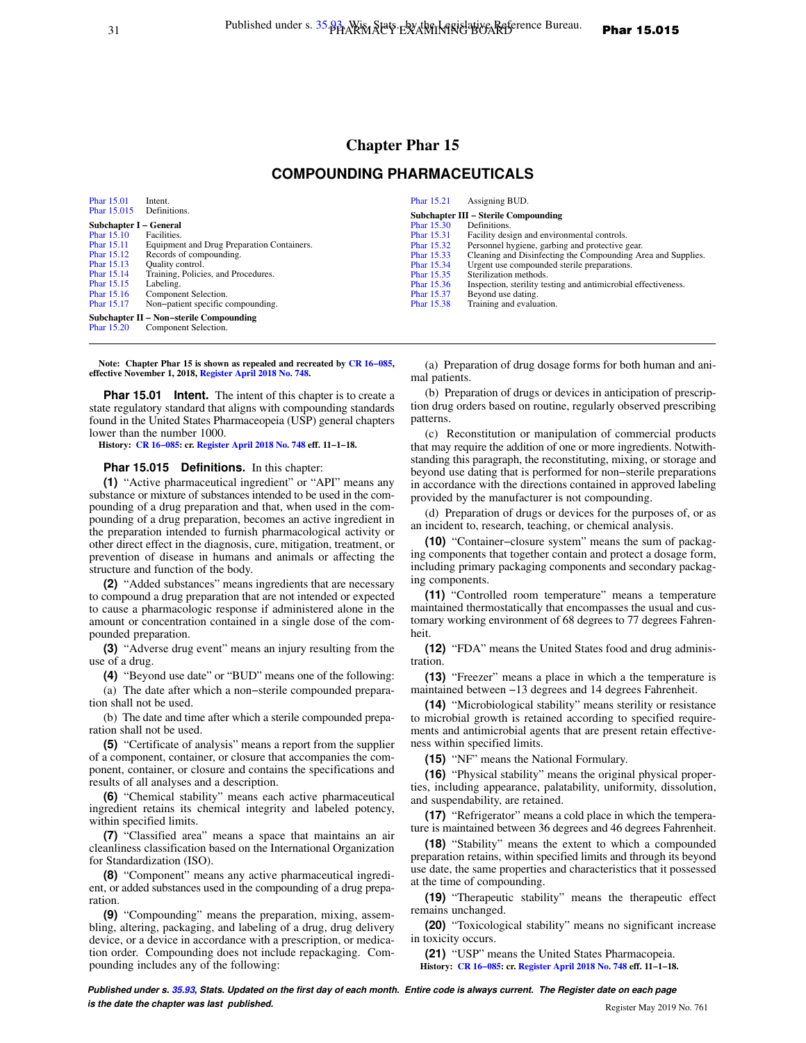# **Chapter Phar 15 COMPOUNDING PHARMACEUTICALS**

[Phar 15.01](https://docs.legis.wisconsin.gov/document/administrativecode/Phar%2015.01) Intent.<br>Phar 15.015 Definitions. [Phar 15.015](https://docs.legis.wisconsin.gov/document/administrativecode/Phar%2015.015) **Subchapter I – General**<br>**Phar 15.10** Facilities. [Phar 15.10](https://docs.legis.wisconsin.gov/document/administrativecode/Phar%2015.10)<br>Phar 15.11 [Phar 15.11](https://docs.legis.wisconsin.gov/document/administrativecode/Phar%2015.11) Equipment and Drug Preparation Containers. [Phar 15.12](https://docs.legis.wisconsin.gov/document/administrativecode/Phar%2015.12) Records of compounding.<br>Phar 15.13 Quality control. [Phar 15.13](https://docs.legis.wisconsin.gov/document/administrativecode/Phar%2015.13) Quality control.<br>Phar 15.14 Training, Polici Training, Policies, and Procedures. [Phar 15.15](https://docs.legis.wisconsin.gov/document/administrativecode/Phar%2015.15) Labeling.<br>Phar 15.16 Compone Component Selection. [Phar 15.17](https://docs.legis.wisconsin.gov/document/administrativecode/Phar%2015.17) Non−patient specific compounding. **Subchapter II − Non−sterile Compounding** [Phar 15.20](https://docs.legis.wisconsin.gov/document/administrativecode/Phar%2015.20) Component Selection.

**Note: Chapter Phar 15 is shown as repealed and recreated by [CR 16−085](https://docs.legis.wisconsin.gov/document/cr/2016/85), effective November 1, 2018, [Register April 2018 No. 748.](https://docs.legis.wisconsin.gov/document/register/748/B/toc)**

**Phar 15.01 Intent.** The intent of this chapter is to create a state regulatory standard that aligns with compounding standards found in the United States Pharmaceopeia (USP) general chapters lower than the number 1000.

**History: [CR 16−085](https://docs.legis.wisconsin.gov/document/cr/2016/85): cr. [Register April 2018 No. 748](https://docs.legis.wisconsin.gov/document/register/748/B/toc) eff. 11−1−18.**

#### **Phar 15.015 Definitions.** In this chapter:

**(1)** "Active pharmaceutical ingredient" or "API" means any substance or mixture of substances intended to be used in the compounding of a drug preparation and that, when used in the compounding of a drug preparation, becomes an active ingredient in the preparation intended to furnish pharmacological activity or other direct effect in the diagnosis, cure, mitigation, treatment, or prevention of disease in humans and animals or affecting the structure and function of the body.

**(2)** "Added substances" means ingredients that are necessary to compound a drug preparation that are not intended or expected to cause a pharmacologic response if administered alone in the amount or concentration contained in a single dose of the compounded preparation.

**(3)** "Adverse drug event" means an injury resulting from the use of a drug.

**(4)** "Beyond use date" or "BUD" means one of the following: (a) The date after which a non−sterile compounded preparation shall not be used.

(b) The date and time after which a sterile compounded preparation shall not be used.

**(5)** "Certificate of analysis" means a report from the supplier of a component, container, or closure that accompanies the component, container, or closure and contains the specifications and results of all analyses and a description.

**(6)** "Chemical stability" means each active pharmaceutical ingredient retains its chemical integrity and labeled potency, within specified limits.

**(7)** "Classified area" means a space that maintains an air cleanliness classification based on the International Organization for Standardization (ISO).

**(8)** "Component" means any active pharmaceutical ingredient, or added substances used in the compounding of a drug preparation.

**(9)** "Compounding" means the preparation, mixing, assembling, altering, packaging, and labeling of a drug, drug delivery device, or a device in accordance with a prescription, or medication order. Compounding does not include repackaging. Compounding includes any of the following:

(a) Preparation of drug dosage forms for both human and animal patients.

(b) Preparation of drugs or devices in anticipation of prescription drug orders based on routine, regularly observed prescribing patterns.

(c) Reconstitution or manipulation of commercial products that may require the addition of one or more ingredients. Notwithstanding this paragraph, the reconstituting, mixing, or storage and beyond use dating that is performed for non−sterile preparations in accordance with the directions contained in approved labeling provided by the manufacturer is not compounding.

(d) Preparation of drugs or devices for the purposes of, or as an incident to, research, teaching, or chemical analysis.

**(10)** "Container−closure system" means the sum of packaging components that together contain and protect a dosage form, including primary packaging components and secondary packaging components.

**(11)** "Controlled room temperature" means a temperature maintained thermostatically that encompasses the usual and customary working environment of 68 degrees to 77 degrees Fahrenheit.

**(12)** "FDA" means the United States food and drug administration.

**(13)** "Freezer" means a place in which a the temperature is maintained between −13 degrees and 14 degrees Fahrenheit.

**(14)** "Microbiological stability" means sterility or resistance to microbial growth is retained according to specified requirements and antimicrobial agents that are present retain effectiveness within specified limits.

**(15)** "NF" means the National Formulary.

**(16)** "Physical stability" means the original physical properties, including appearance, palatability, uniformity, dissolution, and suspendability, are retained.

**(17)** "Refrigerator" means a cold place in which the temperature is maintained between 36 degrees and 46 degrees Fahrenheit.

**(18)** "Stability" means the extent to which a compounded preparation retains, within specified limits and through its beyond use date, the same properties and characteristics that it possessed at the time of compounding.

**(19)** "Therapeutic stability" means the therapeutic effect remains unchanged.

**(20)** "Toxicological stability" means no significant increase in toxicity occurs.

**(21)** "USP" means the United States Pharmacopeia. **History: [CR 16−085:](https://docs.legis.wisconsin.gov/document/cr/2016/85) cr. [Register April 2018 No. 748](https://docs.legis.wisconsin.gov/document/register/748/B/toc) eff. 11−1−18.**

**Published under s. [35.93,](https://docs.legis.wisconsin.gov/document/statutes/35.93) Stats. Updated on the first day of each month. Entire code is always current. The Register date on each page is the date the chapter was last published. Conserved Account 2019 No. 761 Register May 2019 No. 761** 

| Phar 15.21                           | Assigning BUD.                                                 |
|--------------------------------------|----------------------------------------------------------------|
| Subchapter III – Sterile Compounding |                                                                |
| Phar 15.30                           | Definitions.                                                   |
| Phar 15.31                           | Facility design and environmental controls.                    |
| Phar 15.32                           | Personnel hygiene, garbing and protective gear.                |
| Phar 15.33                           | Cleaning and Disinfecting the Compounding Area and Supplies.   |
| Phar 15.34                           | Urgent use compounded sterile preparations.                    |
| Phar 15.35                           | Sterilization methods.                                         |
| Phar 15.36                           | Inspection, sterility testing and antimicrobial effectiveness. |
| Phar 15.37                           | Beyond use dating.                                             |
| Phar 15.38                           | Training and evaluation.                                       |
|                                      |                                                                |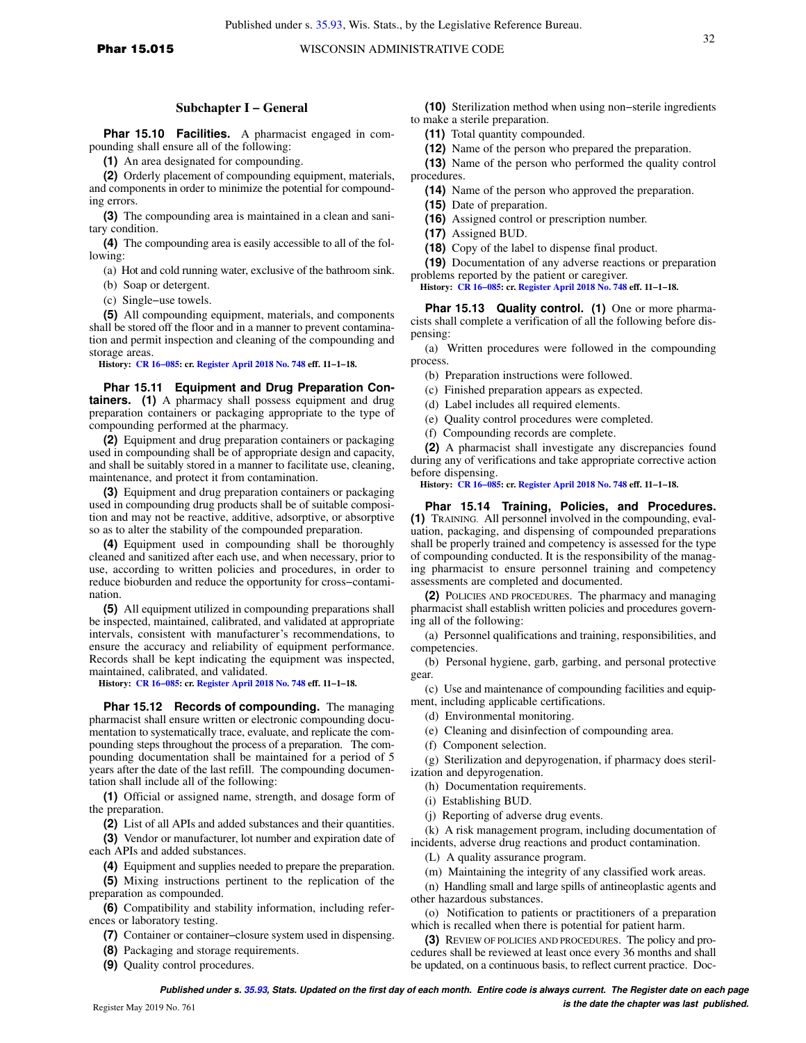32

## **Subchapter I − General**

**Phar 15.10 Facilities.** A pharmacist engaged in compounding shall ensure all of the following:

**(1)** An area designated for compounding.

**(2)** Orderly placement of compounding equipment, materials, and components in order to minimize the potential for compounding errors.

**(3)** The compounding area is maintained in a clean and sanitary condition.

**(4)** The compounding area is easily accessible to all of the following:

(a) Hot and cold running water, exclusive of the bathroom sink.

(b) Soap or detergent.

(c) Single−use towels.

**(5)** All compounding equipment, materials, and components shall be stored off the floor and in a manner to prevent contamination and permit inspection and cleaning of the compounding and storage areas.

**History: [CR 16−085](https://docs.legis.wisconsin.gov/document/cr/2016/85): cr. [Register April 2018 No. 748](https://docs.legis.wisconsin.gov/document/register/748/B/toc) eff. 11−1−18.**

**Phar 15.11 Equipment and Drug Preparation Containers. (1)** A pharmacy shall possess equipment and drug preparation containers or packaging appropriate to the type of compounding performed at the pharmacy.

**(2)** Equipment and drug preparation containers or packaging used in compounding shall be of appropriate design and capacity, and shall be suitably stored in a manner to facilitate use, cleaning, maintenance, and protect it from contamination.

**(3)** Equipment and drug preparation containers or packaging used in compounding drug products shall be of suitable composition and may not be reactive, additive, adsorptive, or absorptive so as to alter the stability of the compounded preparation.

**(4)** Equipment used in compounding shall be thoroughly cleaned and sanitized after each use, and when necessary, prior to use, according to written policies and procedures, in order to reduce bioburden and reduce the opportunity for cross−contamination.

**(5)** All equipment utilized in compounding preparations shall be inspected, maintained, calibrated, and validated at appropriate intervals, consistent with manufacturer's recommendations, to ensure the accuracy and reliability of equipment performance. Records shall be kept indicating the equipment was inspected, maintained, calibrated, and validated.

**History: [CR 16−085](https://docs.legis.wisconsin.gov/document/cr/2016/85): cr. [Register April 2018 No. 748](https://docs.legis.wisconsin.gov/document/register/748/B/toc) eff. 11−1−18.**

**Phar 15.12 Records of compounding.** The managing pharmacist shall ensure written or electronic compounding documentation to systematically trace, evaluate, and replicate the compounding steps throughout the process of a preparation. The compounding documentation shall be maintained for a period of 5 years after the date of the last refill. The compounding documentation shall include all of the following:

**(1)** Official or assigned name, strength, and dosage form of the preparation.

**(2)** List of all APIs and added substances and their quantities.

**(3)** Vendor or manufacturer, lot number and expiration date of each APIs and added substances.

**(4)** Equipment and supplies needed to prepare the preparation.

**(5)** Mixing instructions pertinent to the replication of the preparation as compounded.

**(6)** Compatibility and stability information, including references or laboratory testing.

**(7)** Container or container−closure system used in dispensing.

**(8)** Packaging and storage requirements.

**(9)** Quality control procedures.

**(10)** Sterilization method when using non−sterile ingredients to make a sterile preparation.

**(11)** Total quantity compounded.

**(12)** Name of the person who prepared the preparation.

**(13)** Name of the person who performed the quality control procedures.

**(14)** Name of the person who approved the preparation.

**(15)** Date of preparation.

**(16)** Assigned control or prescription number.

**(17)** Assigned BUD.

**(18)** Copy of the label to dispense final product.

**(19)** Documentation of any adverse reactions or preparation problems reported by the patient or caregiver.

**History: [CR 16−085:](https://docs.legis.wisconsin.gov/document/cr/2016/85) cr. [Register April 2018 No. 748](https://docs.legis.wisconsin.gov/document/register/748/B/toc) eff. 11−1−18.**

**Phar 15.13 Quality control. (1)** One or more pharmacists shall complete a verification of all the following before dispensing:

(a) Written procedures were followed in the compounding process.

(b) Preparation instructions were followed.

(c) Finished preparation appears as expected.

(d) Label includes all required elements.

(e) Quality control procedures were completed.

(f) Compounding records are complete.

**(2)** A pharmacist shall investigate any discrepancies found during any of verifications and take appropriate corrective action before dispensing.

**History: [CR 16−085:](https://docs.legis.wisconsin.gov/document/cr/2016/85) cr. [Register April 2018 No. 748](https://docs.legis.wisconsin.gov/document/register/748/B/toc) eff. 11−1−18.**

**Phar 15.14 Training, Policies, and Procedures. (1)** TRAINING. All personnel involved in the compounding, evaluation, packaging, and dispensing of compounded preparations shall be properly trained and competency is assessed for the type of compounding conducted. It is the responsibility of the managing pharmacist to ensure personnel training and competency assessments are completed and documented.

**(2)** POLICIES AND PROCEDURES. The pharmacy and managing pharmacist shall establish written policies and procedures governing all of the following:

(a) Personnel qualifications and training, responsibilities, and competencies.

(b) Personal hygiene, garb, garbing, and personal protective gear.

(c) Use and maintenance of compounding facilities and equipment, including applicable certifications.

(d) Environmental monitoring.

(e) Cleaning and disinfection of compounding area.

(f) Component selection.

(g) Sterilization and depyrogenation, if pharmacy does sterilization and depyrogenation.

(h) Documentation requirements.

- (i) Establishing BUD.
- (j) Reporting of adverse drug events.

(k) A risk management program, including documentation of incidents, adverse drug reactions and product contamination.

(L) A quality assurance program.

(m) Maintaining the integrity of any classified work areas.

(n) Handling small and large spills of antineoplastic agents and other hazardous substances.

(o) Notification to patients or practitioners of a preparation which is recalled when there is potential for patient harm.

**(3)** REVIEW OF POLICIES AND PROCEDURES. The policy and procedures shall be reviewed at least once every 36 months and shall be updated, on a continuous basis, to reflect current practice. Doc-

**Published under s. [35.93,](https://docs.legis.wisconsin.gov/document/statutes/35.93) Stats. Updated on the first day of each month. Entire code is always current. The Register date on each page is the date the chapter was last published. is the date the chapter was last published.**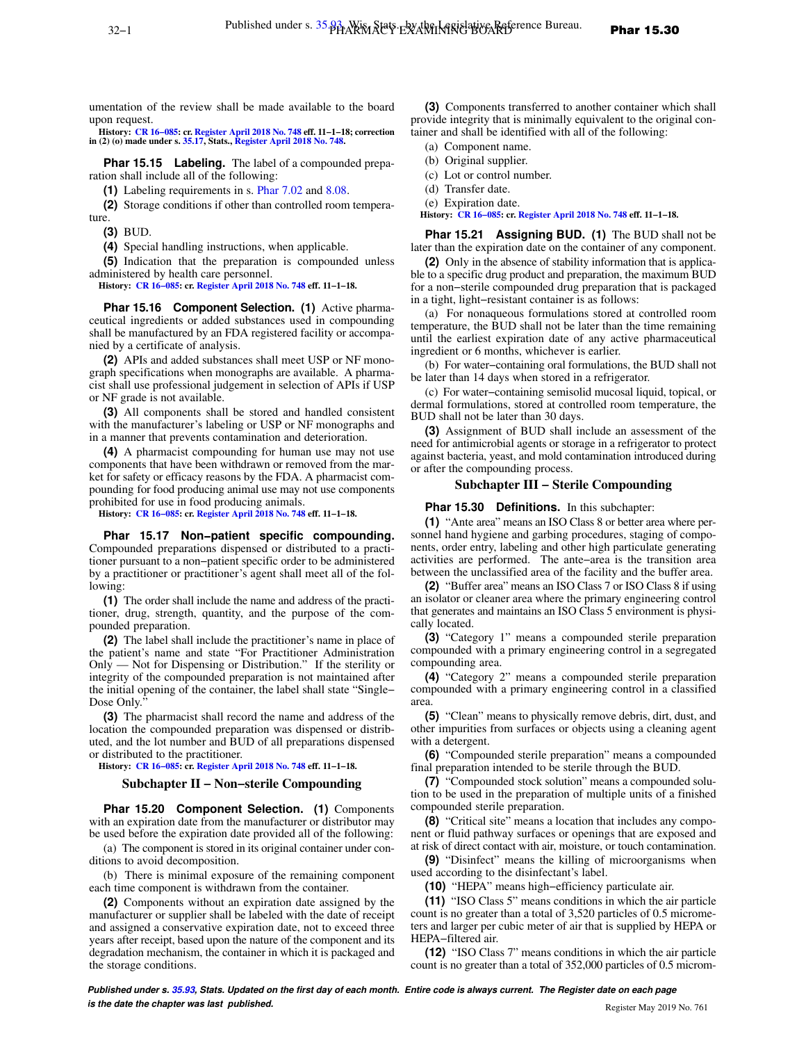**History: [CR 16−085](https://docs.legis.wisconsin.gov/document/cr/2016/85): cr. [Register April 2018 No. 748](https://docs.legis.wisconsin.gov/document/register/748/B/toc) eff. 11−1−18; correction in (2) (o) made under s. [35.17,](https://docs.legis.wisconsin.gov/document/statutes/35.17) Stats., [Register April 2018 No. 748](https://docs.legis.wisconsin.gov/document/register/748/B/toc).**

**Phar 15.15 Labeling.** The label of a compounded preparation shall include all of the following:

**(1)** Labeling requirements in s. [Phar 7.02](https://docs.legis.wisconsin.gov/document/administrativecode/Phar%207.02) and [8.08.](https://docs.legis.wisconsin.gov/document/administrativecode/Phar%208.08)

**(2)** Storage conditions if other than controlled room temperature.

**(3)** BUD.

**(4)** Special handling instructions, when applicable.

**(5)** Indication that the preparation is compounded unless administered by health care personnel.

**History: [CR 16−085](https://docs.legis.wisconsin.gov/document/cr/2016/85): cr. [Register April 2018 No. 748](https://docs.legis.wisconsin.gov/document/register/748/B/toc) eff. 11−1−18.**

**Phar 15.16 Component Selection. (1)** Active pharmaceutical ingredients or added substances used in compounding shall be manufactured by an FDA registered facility or accompanied by a certificate of analysis.

**(2)** APIs and added substances shall meet USP or NF monograph specifications when monographs are available. A pharmacist shall use professional judgement in selection of APIs if USP or NF grade is not available.

**(3)** All components shall be stored and handled consistent with the manufacturer's labeling or USP or NF monographs and in a manner that prevents contamination and deterioration.

**(4)** A pharmacist compounding for human use may not use components that have been withdrawn or removed from the market for safety or efficacy reasons by the FDA. A pharmacist compounding for food producing animal use may not use components prohibited for use in food producing animals.

**History: [CR 16−085](https://docs.legis.wisconsin.gov/document/cr/2016/85): cr. [Register April 2018 No. 748](https://docs.legis.wisconsin.gov/document/register/748/B/toc) eff. 11−1−18.**

**Phar 15.17 Non−patient specific compounding.** Compounded preparations dispensed or distributed to a practitioner pursuant to a non−patient specific order to be administered by a practitioner or practitioner's agent shall meet all of the following:

**(1)** The order shall include the name and address of the practitioner, drug, strength, quantity, and the purpose of the compounded preparation.

**(2)** The label shall include the practitioner's name in place of the patient's name and state "For Practitioner Administration Only — Not for Dispensing or Distribution." If the sterility or integrity of the compounded preparation is not maintained after the initial opening of the container, the label shall state "Single− Dose Only.

**(3)** The pharmacist shall record the name and address of the location the compounded preparation was dispensed or distributed, and the lot number and BUD of all preparations dispensed or distributed to the practitioner.

**History: [CR 16−085](https://docs.legis.wisconsin.gov/document/cr/2016/85): cr. [Register April 2018 No. 748](https://docs.legis.wisconsin.gov/document/register/748/B/toc) eff. 11−1−18.**

## **Subchapter II − Non−sterile Compounding**

**Phar 15.20 Component Selection. (1)** Components with an expiration date from the manufacturer or distributor may be used before the expiration date provided all of the following:

(a) The component is stored in its original container under conditions to avoid decomposition.

(b) There is minimal exposure of the remaining component each time component is withdrawn from the container.

**(2)** Components without an expiration date assigned by the manufacturer or supplier shall be labeled with the date of receipt and assigned a conservative expiration date, not to exceed three years after receipt, based upon the nature of the component and its degradation mechanism, the container in which it is packaged and the storage conditions.

**(3)** Components transferred to another container which shall provide integrity that is minimally equivalent to the original container and shall be identified with all of the following:

(a) Component name.

(b) Original supplier.

(c) Lot or control number.

- (d) Transfer date.
- (e) Expiration date.

**History: [CR 16−085:](https://docs.legis.wisconsin.gov/document/cr/2016/85) cr. [Register April 2018 No. 748](https://docs.legis.wisconsin.gov/document/register/748/B/toc) eff. 11−1−18.**

**Phar 15.21 Assigning BUD. (1)** The BUD shall not be later than the expiration date on the container of any component.

**(2)** Only in the absence of stability information that is applicable to a specific drug product and preparation, the maximum BUD for a non−sterile compounded drug preparation that is packaged in a tight, light−resistant container is as follows:

(a) For nonaqueous formulations stored at controlled room temperature, the BUD shall not be later than the time remaining until the earliest expiration date of any active pharmaceutical ingredient or 6 months, whichever is earlier.

(b) For water−containing oral formulations, the BUD shall not be later than 14 days when stored in a refrigerator.

(c) For water−containing semisolid mucosal liquid, topical, or dermal formulations, stored at controlled room temperature, the BUD shall not be later than 30 days.

**(3)** Assignment of BUD shall include an assessment of the need for antimicrobial agents or storage in a refrigerator to protect against bacteria, yeast, and mold contamination introduced during or after the compounding process.

#### **Subchapter III − Sterile Compounding**

**Phar 15.30 Definitions.** In this subchapter:

**(1)** "Ante area" means an ISO Class 8 or better area where personnel hand hygiene and garbing procedures, staging of components, order entry, labeling and other high particulate generating activities are performed. The ante−area is the transition area between the unclassified area of the facility and the buffer area.

**(2)** "Buffer area" means an ISO Class 7 or ISO Class 8 if using an isolator or cleaner area where the primary engineering control that generates and maintains an ISO Class 5 environment is physically located.

**(3)** "Category 1" means a compounded sterile preparation compounded with a primary engineering control in a segregated compounding area.

**(4)** "Category 2" means a compounded sterile preparation compounded with a primary engineering control in a classified area.

**(5)** "Clean" means to physically remove debris, dirt, dust, and other impurities from surfaces or objects using a cleaning agent with a detergent.

**(6)** "Compounded sterile preparation" means a compounded final preparation intended to be sterile through the BUD.

**(7)** "Compounded stock solution" means a compounded solution to be used in the preparation of multiple units of a finished compounded sterile preparation.

**(8)** "Critical site" means a location that includes any component or fluid pathway surfaces or openings that are exposed and at risk of direct contact with air, moisture, or touch contamination.

**(9)** "Disinfect" means the killing of microorganisms when used according to the disinfectant's label.

**(10)** "HEPA" means high−efficiency particulate air.

**(11)** "ISO Class 5" means conditions in which the air particle count is no greater than a total of 3,520 particles of 0.5 micrometers and larger per cubic meter of air that is supplied by HEPA or HEPA−filtered air.

**(12)** "ISO Class 7" means conditions in which the air particle count is no greater than a total of 352,000 particles of 0.5 microm-

**Published under s. [35.93,](https://docs.legis.wisconsin.gov/document/statutes/35.93) Stats. Updated on the first day of each month. Entire code is always current. The Register date on each page is the date the chapter was last published. is the date the chapter was last published.** Register May 2019 No. 761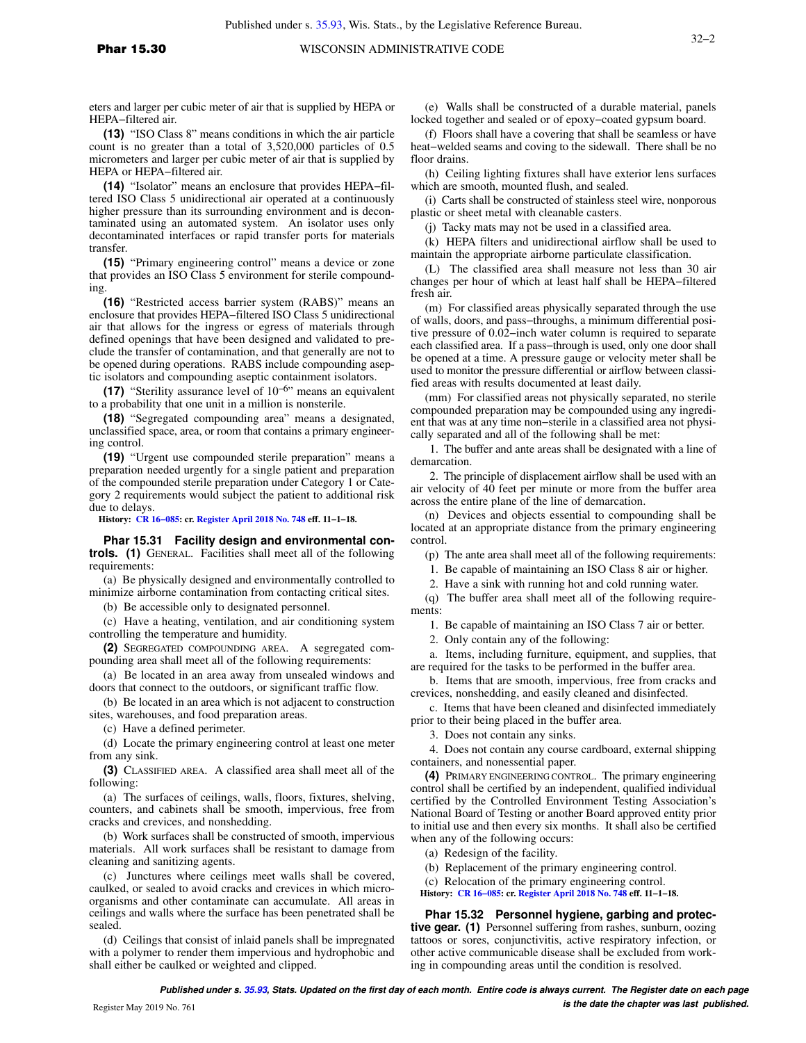eters and larger per cubic meter of air that is supplied by HEPA or HEPA−filtered air.

**(13)** "ISO Class 8" means conditions in which the air particle count is no greater than a total of 3,520,000 particles of 0.5 micrometers and larger per cubic meter of air that is supplied by HEPA or HEPA−filtered air.

**(14)** "Isolator" means an enclosure that provides HEPA−filtered ISO Class 5 unidirectional air operated at a continuously higher pressure than its surrounding environment and is decontaminated using an automated system. An isolator uses only decontaminated interfaces or rapid transfer ports for materials transfer.

**(15)** "Primary engineering control" means a device or zone that provides an ISO Class 5 environment for sterile compounding.

**(16)** "Restricted access barrier system (RABS)" means an enclosure that provides HEPA−filtered ISO Class 5 unidirectional air that allows for the ingress or egress of materials through defined openings that have been designed and validated to preclude the transfer of contamination, and that generally are not to be opened during operations. RABS include compounding aseptic isolators and compounding aseptic containment isolators.

**(17)** "Sterility assurance level of 10−6" means an equivalent to a probability that one unit in a million is nonsterile.

**(18)** "Segregated compounding area" means a designated, unclassified space, area, or room that contains a primary engineering control.

**(19)** "Urgent use compounded sterile preparation" means a preparation needed urgently for a single patient and preparation of the compounded sterile preparation under Category 1 or Category 2 requirements would subject the patient to additional risk due to delays.

**History: [CR 16−085](https://docs.legis.wisconsin.gov/document/cr/2016/85): cr. [Register April 2018 No. 748](https://docs.legis.wisconsin.gov/document/register/748/B/toc) eff. 11−1−18.**

**Phar 15.31 Facility design and environmental controls. (1)** GENERAL. Facilities shall meet all of the following requirements:

(a) Be physically designed and environmentally controlled to minimize airborne contamination from contacting critical sites.

(b) Be accessible only to designated personnel.

(c) Have a heating, ventilation, and air conditioning system controlling the temperature and humidity.

**(2)** SEGREGATED COMPOUNDING AREA. A segregated compounding area shall meet all of the following requirements:

(a) Be located in an area away from unsealed windows and doors that connect to the outdoors, or significant traffic flow.

(b) Be located in an area which is not adjacent to construction sites, warehouses, and food preparation areas.

(c) Have a defined perimeter.

(d) Locate the primary engineering control at least one meter from any sink.

**(3)** CLASSIFIED AREA. A classified area shall meet all of the following:

(a) The surfaces of ceilings, walls, floors, fixtures, shelving, counters, and cabinets shall be smooth, impervious, free from cracks and crevices, and nonshedding.

(b) Work surfaces shall be constructed of smooth, impervious materials. All work surfaces shall be resistant to damage from cleaning and sanitizing agents.

(c) Junctures where ceilings meet walls shall be covered, caulked, or sealed to avoid cracks and crevices in which microorganisms and other contaminate can accumulate. All areas in ceilings and walls where the surface has been penetrated shall be sealed.

(d) Ceilings that consist of inlaid panels shall be impregnated with a polymer to render them impervious and hydrophobic and shall either be caulked or weighted and clipped.

(e) Walls shall be constructed of a durable material, panels locked together and sealed or of epoxy−coated gypsum board.

(f) Floors shall have a covering that shall be seamless or have heat−welded seams and coving to the sidewall. There shall be no floor drains.

(h) Ceiling lighting fixtures shall have exterior lens surfaces which are smooth, mounted flush, and sealed.

(i) Carts shall be constructed of stainless steel wire, nonporous plastic or sheet metal with cleanable casters.

(j) Tacky mats may not be used in a classified area.

(k) HEPA filters and unidirectional airflow shall be used to maintain the appropriate airborne particulate classification.

(L) The classified area shall measure not less than 30 air changes per hour of which at least half shall be HEPA−filtered fresh air.

(m) For classified areas physically separated through the use of walls, doors, and pass−throughs, a minimum differential positive pressure of 0.02−inch water column is required to separate each classified area. If a pass−through is used, only one door shall be opened at a time. A pressure gauge or velocity meter shall be used to monitor the pressure differential or airflow between classified areas with results documented at least daily.

(mm) For classified areas not physically separated, no sterile compounded preparation may be compounded using any ingredient that was at any time non−sterile in a classified area not physically separated and all of the following shall be met:

1. The buffer and ante areas shall be designated with a line of demarcation.

2. The principle of displacement airflow shall be used with an air velocity of 40 feet per minute or more from the buffer area across the entire plane of the line of demarcation.

(n) Devices and objects essential to compounding shall be located at an appropriate distance from the primary engineering control.

(p) The ante area shall meet all of the following requirements:

1. Be capable of maintaining an ISO Class 8 air or higher.

2. Have a sink with running hot and cold running water.

(q) The buffer area shall meet all of the following requirements:

1. Be capable of maintaining an ISO Class 7 air or better.

2. Only contain any of the following:

a. Items, including furniture, equipment, and supplies, that are required for the tasks to be performed in the buffer area.

b. Items that are smooth, impervious, free from cracks and crevices, nonshedding, and easily cleaned and disinfected.

c. Items that have been cleaned and disinfected immediately prior to their being placed in the buffer area.

3. Does not contain any sinks.

4. Does not contain any course cardboard, external shipping containers, and nonessential paper.

**(4)** PRIMARY ENGINEERING CONTROL. The primary engineering control shall be certified by an independent, qualified individual certified by the Controlled Environment Testing Association's National Board of Testing or another Board approved entity prior to initial use and then every six months. It shall also be certified when any of the following occurs:

(a) Redesign of the facility.

(b) Replacement of the primary engineering control.

(c) Relocation of the primary engineering control.

**History: [CR 16−085:](https://docs.legis.wisconsin.gov/document/cr/2016/85) cr. [Register April 2018 No. 748](https://docs.legis.wisconsin.gov/document/register/748/B/toc) eff. 11−1−18.**

**Phar 15.32 Personnel hygiene, garbing and protective gear. (1)** Personnel suffering from rashes, sunburn, oozing tattoos or sores, conjunctivitis, active respiratory infection, or other active communicable disease shall be excluded from working in compounding areas until the condition is resolved.

**Published under s. [35.93,](https://docs.legis.wisconsin.gov/document/statutes/35.93) Stats. Updated on the first day of each month. Entire code is always current. The Register date on each page is the date the chapter was last published. is the date the chapter was last published.**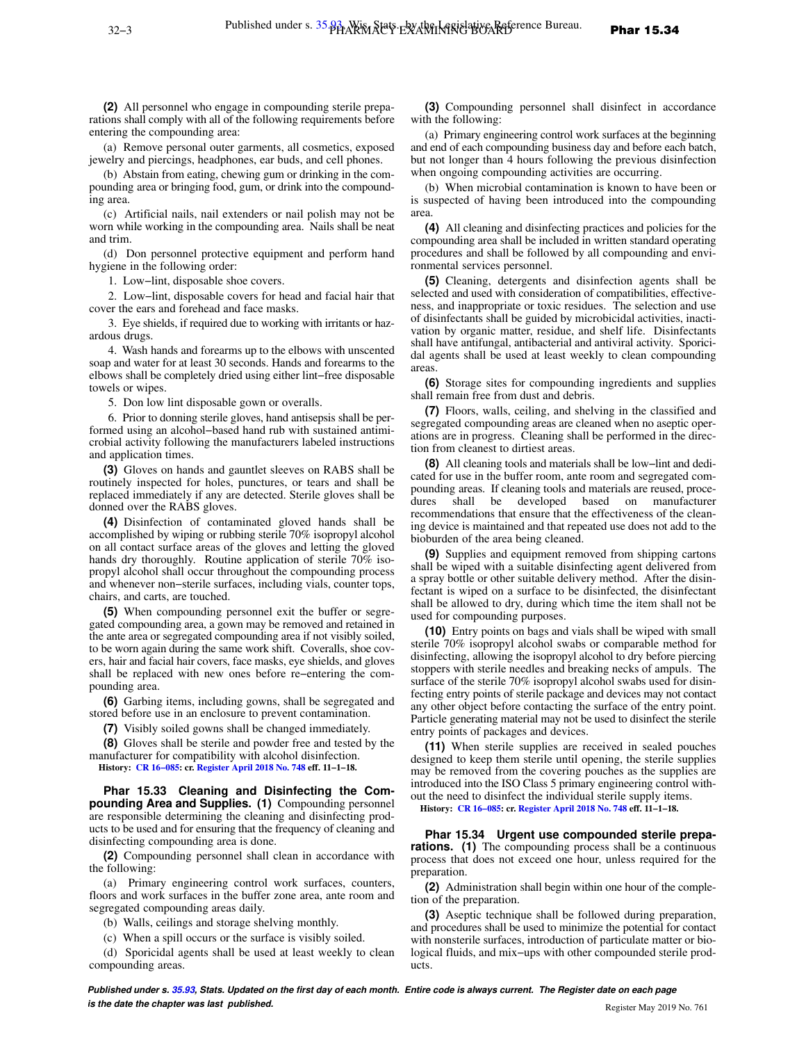**(2)** All personnel who engage in compounding sterile preparations shall comply with all of the following requirements before entering the compounding area:

(a) Remove personal outer garments, all cosmetics, exposed jewelry and piercings, headphones, ear buds, and cell phones.

(b) Abstain from eating, chewing gum or drinking in the compounding area or bringing food, gum, or drink into the compounding area.

(c) Artificial nails, nail extenders or nail polish may not be worn while working in the compounding area. Nails shall be neat and trim.

(d) Don personnel protective equipment and perform hand hygiene in the following order:

1. Low−lint, disposable shoe covers.

2. Low−lint, disposable covers for head and facial hair that cover the ears and forehead and face masks.

3. Eye shields, if required due to working with irritants or hazardous drugs.

4. Wash hands and forearms up to the elbows with unscented soap and water for at least 30 seconds. Hands and forearms to the elbows shall be completely dried using either lint−free disposable towels or wipes.

5. Don low lint disposable gown or overalls.

6. Prior to donning sterile gloves, hand antisepsis shall be performed using an alcohol−based hand rub with sustained antimicrobial activity following the manufacturers labeled instructions and application times.

**(3)** Gloves on hands and gauntlet sleeves on RABS shall be routinely inspected for holes, punctures, or tears and shall be replaced immediately if any are detected. Sterile gloves shall be donned over the RABS gloves.

**(4)** Disinfection of contaminated gloved hands shall be accomplished by wiping or rubbing sterile 70% isopropyl alcohol on all contact surface areas of the gloves and letting the gloved hands dry thoroughly. Routine application of sterile 70% isopropyl alcohol shall occur throughout the compounding process and whenever non−sterile surfaces, including vials, counter tops, chairs, and carts, are touched.

**(5)** When compounding personnel exit the buffer or segregated compounding area, a gown may be removed and retained in the ante area or segregated compounding area if not visibly soiled, to be worn again during the same work shift. Coveralls, shoe covers, hair and facial hair covers, face masks, eye shields, and gloves shall be replaced with new ones before re−entering the compounding area.

**(6)** Garbing items, including gowns, shall be segregated and stored before use in an enclosure to prevent contamination.

**(7)** Visibly soiled gowns shall be changed immediately.

**(8)** Gloves shall be sterile and powder free and tested by the manufacturer for compatibility with alcohol disinfection. **History: [CR 16−085](https://docs.legis.wisconsin.gov/document/cr/2016/85): cr. [Register April 2018 No. 748](https://docs.legis.wisconsin.gov/document/register/748/B/toc) eff. 11−1−18.**

**Phar 15.33 Cleaning and Disinfecting the Compounding Area and Supplies. (1)** Compounding personnel are responsible determining the cleaning and disinfecting products to be used and for ensuring that the frequency of cleaning and disinfecting compounding area is done.

**(2)** Compounding personnel shall clean in accordance with the following:

(a) Primary engineering control work surfaces, counters, floors and work surfaces in the buffer zone area, ante room and segregated compounding areas daily.

(b) Walls, ceilings and storage shelving monthly.

(c) When a spill occurs or the surface is visibly soiled.

(d) Sporicidal agents shall be used at least weekly to clean compounding areas.

**(3)** Compounding personnel shall disinfect in accordance with the following:

(a) Primary engineering control work surfaces at the beginning and end of each compounding business day and before each batch, but not longer than 4 hours following the previous disinfection when ongoing compounding activities are occurring.

(b) When microbial contamination is known to have been or is suspected of having been introduced into the compounding area.

**(4)** All cleaning and disinfecting practices and policies for the compounding area shall be included in written standard operating procedures and shall be followed by all compounding and environmental services personnel.

**(5)** Cleaning, detergents and disinfection agents shall be selected and used with consideration of compatibilities, effectiveness, and inappropriate or toxic residues. The selection and use of disinfectants shall be guided by microbicidal activities, inactivation by organic matter, residue, and shelf life. Disinfectants shall have antifungal, antibacterial and antiviral activity. Sporicidal agents shall be used at least weekly to clean compounding areas.

**(6)** Storage sites for compounding ingredients and supplies shall remain free from dust and debris.

**(7)** Floors, walls, ceiling, and shelving in the classified and segregated compounding areas are cleaned when no aseptic operations are in progress. Cleaning shall be performed in the direction from cleanest to dirtiest areas.

**(8)** All cleaning tools and materials shall be low−lint and dedicated for use in the buffer room, ante room and segregated compounding areas. If cleaning tools and materials are reused, procedures shall be developed based on manufacturer recommendations that ensure that the effectiveness of the cleaning device is maintained and that repeated use does not add to the bioburden of the area being cleaned.

**(9)** Supplies and equipment removed from shipping cartons shall be wiped with a suitable disinfecting agent delivered from a spray bottle or other suitable delivery method. After the disinfectant is wiped on a surface to be disinfected, the disinfectant shall be allowed to dry, during which time the item shall not be used for compounding purposes.

**(10)** Entry points on bags and vials shall be wiped with small sterile 70% isopropyl alcohol swabs or comparable method for disinfecting, allowing the isopropyl alcohol to dry before piercing stoppers with sterile needles and breaking necks of ampuls. The surface of the sterile 70% isopropyl alcohol swabs used for disinfecting entry points of sterile package and devices may not contact any other object before contacting the surface of the entry point. Particle generating material may not be used to disinfect the sterile entry points of packages and devices.

**(11)** When sterile supplies are received in sealed pouches designed to keep them sterile until opening, the sterile supplies may be removed from the covering pouches as the supplies are introduced into the ISO Class 5 primary engineering control without the need to disinfect the individual sterile supply items. **History: [CR 16−085:](https://docs.legis.wisconsin.gov/document/cr/2016/85) cr. [Register April 2018 No. 748](https://docs.legis.wisconsin.gov/document/register/748/B/toc) eff. 11−1−18.**

**Phar 15.34 Urgent use compounded sterile preparations.** (1) The compounding process shall be a continuous process that does not exceed one hour, unless required for the preparation.

**(2)** Administration shall begin within one hour of the completion of the preparation.

**(3)** Aseptic technique shall be followed during preparation, and procedures shall be used to minimize the potential for contact with nonsterile surfaces, introduction of particulate matter or biological fluids, and mix−ups with other compounded sterile products.

**Published under s. [35.93,](https://docs.legis.wisconsin.gov/document/statutes/35.93) Stats. Updated on the first day of each month. Entire code is always current. The Register date on each page is the date the chapter was last published. is the date the chapter was last published.** Register May 2019 No. 761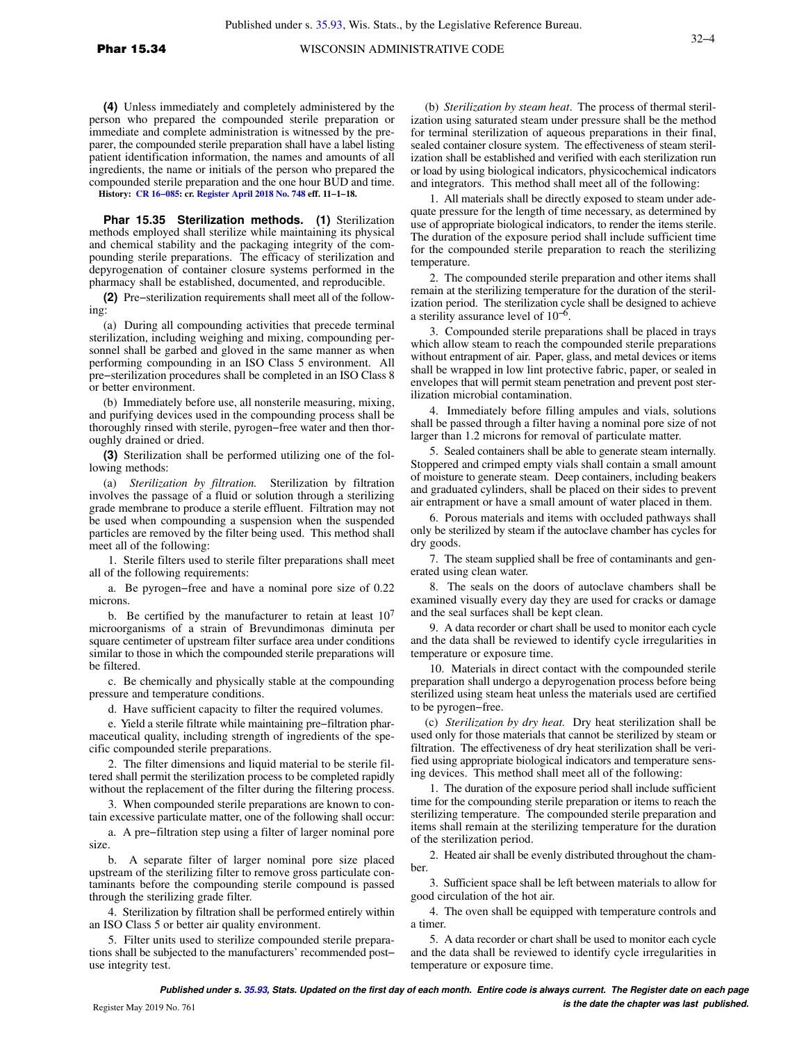**(4)** Unless immediately and completely administered by the person who prepared the compounded sterile preparation or immediate and complete administration is witnessed by the preparer, the compounded sterile preparation shall have a label listing patient identification information, the names and amounts of all ingredients, the name or initials of the person who prepared the compounded sterile preparation and the one hour BUD and time.

**History: [CR 16−085](https://docs.legis.wisconsin.gov/document/cr/2016/85): cr. [Register April 2018 No. 748](https://docs.legis.wisconsin.gov/document/register/748/B/toc) eff. 11−1−18.**

**Phar 15.35 Sterilization methods. (1)** Sterilization methods employed shall sterilize while maintaining its physical and chemical stability and the packaging integrity of the compounding sterile preparations. The efficacy of sterilization and depyrogenation of container closure systems performed in the pharmacy shall be established, documented, and reproducible.

**(2)** Pre−sterilization requirements shall meet all of the following:

(a) During all compounding activities that precede terminal sterilization, including weighing and mixing, compounding personnel shall be garbed and gloved in the same manner as when performing compounding in an ISO Class 5 environment. All pre−sterilization procedures shall be completed in an ISO Class 8 or better environment.

(b) Immediately before use, all nonsterile measuring, mixing, and purifying devices used in the compounding process shall be thoroughly rinsed with sterile, pyrogen−free water and then thoroughly drained or dried.

**(3)** Sterilization shall be performed utilizing one of the following methods:

(a) *Sterilization by filtration.* Sterilization by filtration involves the passage of a fluid or solution through a sterilizing grade membrane to produce a sterile effluent. Filtration may not be used when compounding a suspension when the suspended particles are removed by the filter being used. This method shall meet all of the following:

1. Sterile filters used to sterile filter preparations shall meet all of the following requirements:

a. Be pyrogen−free and have a nominal pore size of 0.22 microns.

b. Be certified by the manufacturer to retain at least  $10<sup>7</sup>$ microorganisms of a strain of Brevundimonas diminuta per square centimeter of upstream filter surface area under conditions similar to those in which the compounded sterile preparations will be filtered.

c. Be chemically and physically stable at the compounding pressure and temperature conditions.

d. Have sufficient capacity to filter the required volumes.

e. Yield a sterile filtrate while maintaining pre−filtration pharmaceutical quality, including strength of ingredients of the specific compounded sterile preparations.

2. The filter dimensions and liquid material to be sterile filtered shall permit the sterilization process to be completed rapidly without the replacement of the filter during the filtering process.

3. When compounded sterile preparations are known to contain excessive particulate matter, one of the following shall occur:

a. A pre−filtration step using a filter of larger nominal pore size.

b. A separate filter of larger nominal pore size placed upstream of the sterilizing filter to remove gross particulate contaminants before the compounding sterile compound is passed through the sterilizing grade filter.

4. Sterilization by filtration shall be performed entirely within an ISO Class 5 or better air quality environment.

5. Filter units used to sterilize compounded sterile preparations shall be subjected to the manufacturers' recommended post− use integrity test.

(b) *Sterilization by steam heat*.The process of thermal sterilization using saturated steam under pressure shall be the method for terminal sterilization of aqueous preparations in their final, sealed container closure system. The effectiveness of steam sterilization shall be established and verified with each sterilization run or load by using biological indicators, physicochemical indicators and integrators. This method shall meet all of the following:

1. All materials shall be directly exposed to steam under adequate pressure for the length of time necessary, as determined by use of appropriate biological indicators, to render the items sterile. The duration of the exposure period shall include sufficient time for the compounded sterile preparation to reach the sterilizing temperature.

2. The compounded sterile preparation and other items shall remain at the sterilizing temperature for the duration of the sterilization period. The sterilization cycle shall be designed to achieve a sterility assurance level of  $10^{-6}$ .

3. Compounded sterile preparations shall be placed in trays which allow steam to reach the compounded sterile preparations without entrapment of air. Paper, glass, and metal devices or items shall be wrapped in low lint protective fabric, paper, or sealed in envelopes that will permit steam penetration and prevent post sterilization microbial contamination.

4. Immediately before filling ampules and vials, solutions shall be passed through a filter having a nominal pore size of not larger than 1.2 microns for removal of particulate matter.

5. Sealed containers shall be able to generate steam internally. Stoppered and crimped empty vials shall contain a small amount of moisture to generate steam. Deep containers, including beakers and graduated cylinders, shall be placed on their sides to prevent air entrapment or have a small amount of water placed in them.

6. Porous materials and items with occluded pathways shall only be sterilized by steam if the autoclave chamber has cycles for dry goods.

7. The steam supplied shall be free of contaminants and generated using clean water.

8. The seals on the doors of autoclave chambers shall be examined visually every day they are used for cracks or damage and the seal surfaces shall be kept clean.

9. A data recorder or chart shall be used to monitor each cycle and the data shall be reviewed to identify cycle irregularities in temperature or exposure time.

10. Materials in direct contact with the compounded sterile preparation shall undergo a depyrogenation process before being sterilized using steam heat unless the materials used are certified to be pyrogen−free.

(c) *Sterilization by dry heat.* Dry heat sterilization shall be used only for those materials that cannot be sterilized by steam or filtration. The effectiveness of dry heat sterilization shall be verified using appropriate biological indicators and temperature sensing devices. This method shall meet all of the following:

1. The duration of the exposure period shall include sufficient time for the compounding sterile preparation or items to reach the sterilizing temperature. The compounded sterile preparation and items shall remain at the sterilizing temperature for the duration of the sterilization period.

2. Heated air shall be evenly distributed throughout the chamber.

3. Sufficient space shall be left between materials to allow for good circulation of the hot air.

4. The oven shall be equipped with temperature controls and a timer.

5. A data recorder or chart shall be used to monitor each cycle and the data shall be reviewed to identify cycle irregularities in temperature or exposure time.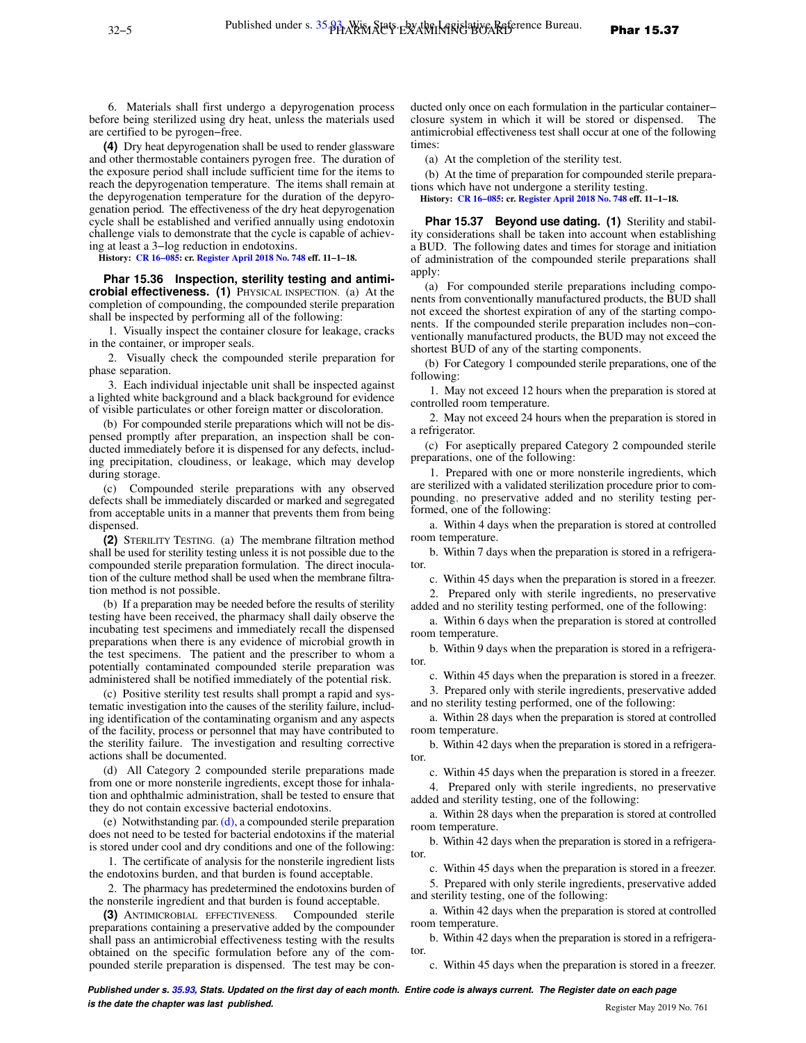6. Materials shall first undergo a depyrogenation process before being sterilized using dry heat, unless the materials used

are certified to be pyrogen−free.

**(4)** Dry heat depyrogenation shall be used to render glassware and other thermostable containers pyrogen free. The duration of the exposure period shall include sufficient time for the items to reach the depyrogenation temperature. The items shall remain at the depyrogenation temperature for the duration of the depyrogenation period. The effectiveness of the dry heat depyrogenation cycle shall be established and verified annually using endotoxin challenge vials to demonstrate that the cycle is capable of achieving at least a 3−log reduction in endotoxins.

**History: [CR 16−085](https://docs.legis.wisconsin.gov/document/cr/2016/85): cr. [Register April 2018 No. 748](https://docs.legis.wisconsin.gov/document/register/748/B/toc) eff. 11−1−18.**

**Phar 15.36 Inspection, sterility testing and antimicrobial effectiveness. (1)** PHYSICAL INSPECTION. (a) At the completion of compounding, the compounded sterile preparation shall be inspected by performing all of the following:

1. Visually inspect the container closure for leakage, cracks in the container, or improper seals.

2. Visually check the compounded sterile preparation for phase separation.

3. Each individual injectable unit shall be inspected against a lighted white background and a black background for evidence of visible particulates or other foreign matter or discoloration.

(b) For compounded sterile preparations which will not be dispensed promptly after preparation, an inspection shall be conducted immediately before it is dispensed for any defects, including precipitation, cloudiness, or leakage, which may develop during storage.

(c) Compounded sterile preparations with any observed defects shall be immediately discarded or marked and segregated from acceptable units in a manner that prevents them from being dispensed.

**(2)** STERILITY TESTING. (a) The membrane filtration method shall be used for sterility testing unless it is not possible due to the compounded sterile preparation formulation. The direct inoculation of the culture method shall be used when the membrane filtration method is not possible.

(b) If a preparation may be needed before the results of sterility testing have been received, the pharmacy shall daily observe the incubating test specimens and immediately recall the dispensed preparations when there is any evidence of microbial growth in the test specimens. The patient and the prescriber to whom a potentially contaminated compounded sterile preparation was administered shall be notified immediately of the potential risk.

(c) Positive sterility test results shall prompt a rapid and systematic investigation into the causes of the sterility failure, including identification of the contaminating organism and any aspects of the facility, process or personnel that may have contributed to the sterility failure. The investigation and resulting corrective actions shall be documented.

(d) All Category 2 compounded sterile preparations made from one or more nonsterile ingredients, except those for inhalation and ophthalmic administration, shall be tested to ensure that they do not contain excessive bacterial endotoxins.

(e) Notwithstanding par. [\(d\)](https://docs.legis.wisconsin.gov/document/administrativecode/Phar%2015.36(2)(d)), a compounded sterile preparation does not need to be tested for bacterial endotoxins if the material is stored under cool and dry conditions and one of the following:

1. The certificate of analysis for the nonsterile ingredient lists the endotoxins burden, and that burden is found acceptable.

2. The pharmacy has predetermined the endotoxins burden of the nonsterile ingredient and that burden is found acceptable.

**(3)** ANTIMICROBIAL EFFECTIVENESS. Compounded sterile preparations containing a preservative added by the compounder shall pass an antimicrobial effectiveness testing with the results obtained on the specific formulation before any of the compounded sterile preparation is dispensed. The test may be con-

ducted only once on each formulation in the particular container− closure system in which it will be stored or dispensed. The antimicrobial effectiveness test shall occur at one of the following times:

(a) At the completion of the sterility test.

(b) At the time of preparation for compounded sterile preparations which have not undergone a sterility testing.

**History: [CR 16−085:](https://docs.legis.wisconsin.gov/document/cr/2016/85) cr. [Register April 2018 No. 748](https://docs.legis.wisconsin.gov/document/register/748/B/toc) eff. 11−1−18.**

**Phar 15.37 Beyond use dating. (1)** Sterility and stability considerations shall be taken into account when establishing a BUD. The following dates and times for storage and initiation of administration of the compounded sterile preparations shall apply:

(a) For compounded sterile preparations including components from conventionally manufactured products, the BUD shall not exceed the shortest expiration of any of the starting components. If the compounded sterile preparation includes non−conventionally manufactured products, the BUD may not exceed the shortest BUD of any of the starting components.

(b) For Category 1 compounded sterile preparations, one of the following:

1. May not exceed 12 hours when the preparation is stored at controlled room temperature.

2. May not exceed 24 hours when the preparation is stored in a refrigerator.

(c) For aseptically prepared Category 2 compounded sterile preparations, one of the following:

1. Prepared with one or more nonsterile ingredients, which are sterilized with a validated sterilization procedure prior to compounding, no preservative added and no sterility testing performed, one of the following:

a. Within 4 days when the preparation is stored at controlled room temperature.

b. Within 7 days when the preparation is stored in a refrigerator.

c. Within 45 days when the preparation is stored in a freezer.

2. Prepared only with sterile ingredients, no preservative added and no sterility testing performed, one of the following:

a. Within 6 days when the preparation is stored at controlled room temperature.

b. Within 9 days when the preparation is stored in a refrigerator.

c. Within 45 days when the preparation is stored in a freezer.

3. Prepared only with sterile ingredients, preservative added and no sterility testing performed, one of the following:

a. Within 28 days when the preparation is stored at controlled room temperature.

b. Within 42 days when the preparation is stored in a refrigerator.

c. Within 45 days when the preparation is stored in a freezer. 4. Prepared only with sterile ingredients, no preservative added and sterility testing, one of the following:

a. Within 28 days when the preparation is stored at controlled room temperature.

b. Within 42 days when the preparation is stored in a refrigerator.

c. Within 45 days when the preparation is stored in a freezer.

5. Prepared with only sterile ingredients, preservative added and sterility testing, one of the following:

a. Within 42 days when the preparation is stored at controlled room temperature.

b. Within 42 days when the preparation is stored in a refrigerator.

c. Within 45 days when the preparation is stored in a freezer.

**Published under s. [35.93,](https://docs.legis.wisconsin.gov/document/statutes/35.93) Stats. Updated on the first day of each month. Entire code is always current. The Register date on each page is the date the chapter was last published. Conserved Account 2019 No. 761 Register May 2019 No. 761**